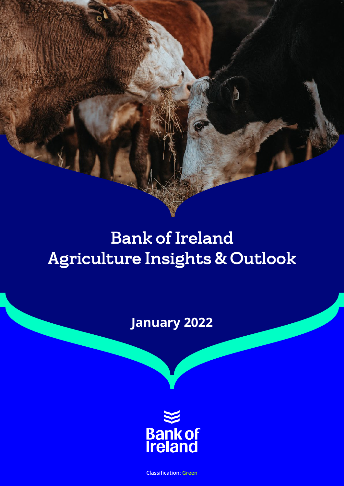# Bank of Ireland Agriculture Insights & Outlook

**January 2022**



**Classification: Green**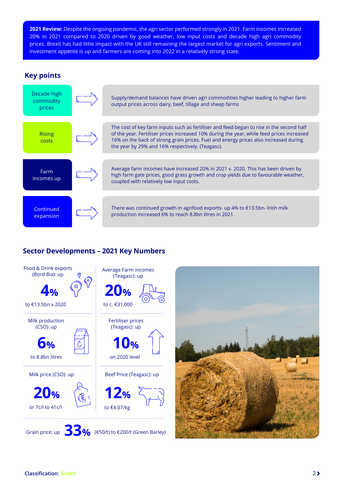<span id="page-1-0"></span>**2021 Review:** Despite the ongoing pandemic, the agri sector performed strongly in 2021. Farm incomes increased 20% in 2021 compared to 2020 driven by good weather, low input costs and decade high agri commodity prices. Brexit has had little impact with the UK still remaining the largest market for agri exports. Sentiment and investment appetite is up and farmers are coming into 2022 in a relatively strong state.

## **Key points**



# **Sector Developments – 2021 Key Numbers**

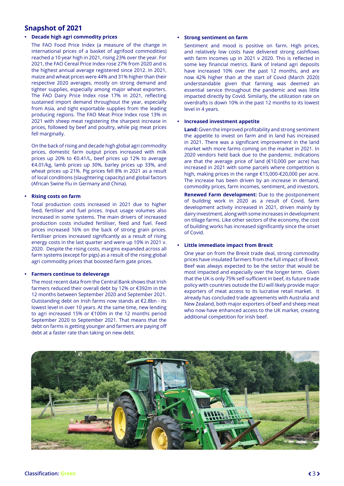## **Snapshot of 2021**

#### **• Decade high agri commodity prices**

The FAO Food Price Index (a measure of the change in international prices of a basket of agrifood commodities) reached a 10 year high in 2021, rising 23% over the year. For 2021, the FAO Cereal Price Index rose 27% from 2020 and is the highest annual average registered since 2012. In 2021, maize and wheat prices were 44% and 31% higher than their respective 2020 averages, mostly on strong demand and tighter supplies, especially among major wheat exporters. The FAO Dairy Price Index rose 17% in 2021, reflecting sustained import demand throughout the year, especially from Asia, and tight exportable supplies from the leading producing regions. The FAO Meat Price Index rose 13% in 2021 with sheep meat registering the sharpest increase in prices, followed by beef and poultry, while pig meat prices fell marginally.

On the back of rising and decade high global agri commodity prices, domestic farm output prices increased with milk prices up 20% to €0.41/L, beef prices up 12% to average €4.01/kg, lamb prices up 30%, barley prices up 33%, and wheat prices up 21%. Pig prices fell 8% in 2021 as a result of local conditions (slaughtering capacity) and global factors (African Swine Flu in Germany and China).

#### **• Rising costs on farm**

Total production costs increased in 2021 due to higher feed, fertiliser and fuel prices. Input usage volumes also increased in some systems. The main drivers of increased production costs included fertiliser, feed and fuel. Feed prices increased 16% on the back of strong grain prices. Fertiliser prices increased significantly as a result of rising energy costs in the last quarter and were up 10% in 2021 v. 2020. Despite the rising costs, margins expanded across all farm systems (except for pigs) as a result of the rising global agri commodity prices that boosted farm gate prices.

#### **• Farmers continue to deleverage**

The most recent data from the Central Bank shows that Irish farmers reduced their overall debt by 12% or €392m in the 12 months between September 2020 and September 2021. Outstanding debt on Irish farms now stands at €2.8bn - its lowest level in over 10 years. At the same time, new lending to agri increased 15% or €100m in the 12 months period September 2020 to September 2021. That means that the debt on farms is getting younger and farmers are paying off debt at a faster rate than taking on new debt.

#### **• Strong sentiment on farm**

Sentiment and mood is positive on farm. High prices, and relatively low costs have delivered strong cashflows with farm incomes up in 2021 v 2020. This is reflected in some key financial metrics. Bank of Ireland agri deposits have increased 10% over the past 12 months, and are now 42% higher than at the start of Covid (March 2020) understandable given that farming was deemed an essential service throughout the pandemic and was little impacted directly by Covid. Similarly, the utilization rate on overdrafts is down 10% in the past 12 months to its lowest level in 4 years.

#### **• Increased investment appetite**

**Land:** Given the improved profitability and strong sentiment the appetite to invest on farm and in land has increased in 2021. There was a significant improvement in the land market with more farms coming on the market in 2021. In 2020 vendors held back due to the pandemic. Indications are that the average price of land (€10,000 per acre) has increased in 2021 with some parcels where competition is high, making prices in the range €15,000-€20,000 per acre. The increase has been driven by an increase in demand, commodity prices, farm incomes, sentiment, and investors.

**Renewed Farm development:** Due to the postponement of building work in 2020 as a result of Covid, farm development activity increased in 2021, driven mainly by dairy investment, along with some increases in development on tillage farms. Like other sectors of the economy, the cost of building works has increased significantly since the onset of Covid.

#### **• Little immediate impact from Brexit**

One year on from the Brexit trade deal, strong commodity prices have insulated farmers from the full impact of Brexit. Beef was always expected to be the sector that would be most impacted and especially over the longer term. Given that the UK is only 75% self-sufficient in beef, its future trade policy with countries outside the EU will likely provide major exporters of meat access to its lucrative retail market. It already has concluded trade agreements with Australia and New Zealand, both major exporters of beef and sheep meat who now have enhanced access to the UK market, creating additional competition for Irish beef.

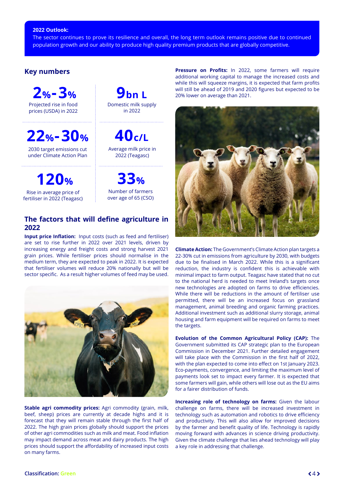#### <span id="page-3-0"></span>**2022 Outlook:**

The sector continues to prove its resilience and overall, the long term outlook remains positive due to continued population growth and our ability to produce high quality premium products that are globally competitive.

### **Key numbers**

**2%-3%** Projected rise in food prices (USDA) in 2022

**22%-30%**

2030 target emissions cut under Climate Action Plan

**120%**

Rise in average price of fertiliser in 2022 (Teagasc)

**9bn L** Domestic milk supply in 2022

**40c/L** Average milk price in 2022 (Teagasc)

**33%**

Number of farmers over age of 65 (CSO)

## **The factors that will define agriculture in 2022**

**Input price Inflation:** Input costs (such as feed and fertiliser) are set to rise further in 2022 over 2021 levels, driven by increasing energy and freight costs and strong harvest 2021 grain prices. While fertiliser prices should normalise in the medium term, they are expected to peak in 2022. It is expected that fertiliser volumes will reduce 20% nationally but will be sector specific. As a result higher volumes of feed may be used.



**Stable agri commodity prices:** Agri commodity (grain, milk, beef, sheep) prices are currently at decade highs and it is forecast that they will remain stable through the first half of 2022. The high grain prices globally should support the prices of other agri commodities such as milk and meat. Food inflation may impact demand across meat and dairy products. The high prices should support the affordability of increased input costs on many farms.

**Pressure on Profits:** In 2022, some farmers will require additional working capital to manage the increased costs and while this will squeeze margins, it is expected that farm profits will still be ahead of 2019 and 2020 figures but expected to be 20% lower on average than 2021.



**Climate Action:** The Government's Climate Action plan targets a 22-30% cut in emissions from agriculture by 2030, with budgets due to be finalised in March 2022. While this is a significant reduction, the industry is confident this is achievable with minimal impact to farm output. Teagasc have stated that no cut to the national herd is needed to meet Ireland's targets once new technologies are adopted on farms to drive efficiencies. While there will be reductions in the amount of fertiliser use permitted, there will be an increased focus on grassland management, animal breeding and organic farming practices. Additional investment such as additional slurry storage, animal housing and farm equipment will be required on farms to meet the targets.

**Evolution of the Common Agricultural Policy (CAP):** The Government submitted its CAP strategic plan to the European Commission in December 2021. Further detailed engagement will take place with the Commission in the first half of 2022, with the plan expected to come into effect on 1st January 2023. Eco-payments, convergence, and limiting the maximum level of payments look set to impact every farmer. It is expected that some farmers will gain, while others will lose out as the EU aims for a fairer distribution of funds.

**Increasing role of technology on farms:** Given the labour challenge on farms, there will be increased investment in technology such as automation and robotics to drive efficiency and productivity. This will also allow for improved decisions by the farmer and benefit quality of life. Technology is rapidly moving forward with advances in science driving productivity. Given the climate challenge that lies ahead technology will play a key role in addressing that challenge.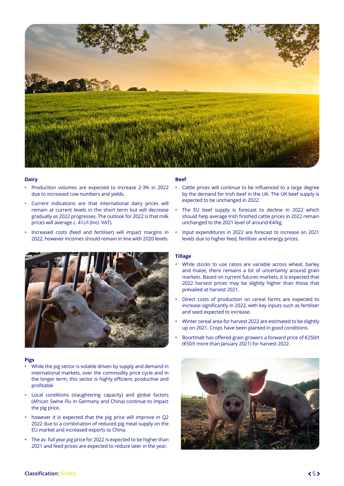<span id="page-4-0"></span>

#### **Dairy**

- Production volumes are expected to increase 2-3% in 2022 due to increased cow numbers and yields.
- Current indications are that international dairy prices will remain at current levels in the short term but will decrease gradually as 2022 progresses. The outlook for 2022 is that milk prices will average c. 41c/l (Incl. VAT).
- Increased costs (feed and fertiliser) will impact margins in 2022, however incomes should remain in line with 2020 levels.



#### **Pigs**

- While the pig sector is volatile driven by supply and demand in international markets, over the commodity price cycle and in the longer term, this sector is highly efficient, productive and profitable
- Local conditions (slaughtering capacity) and global factors (African Swine Flu in Germany and China) continue to impact the pig price.
- however it is expected that the pig price will improve in Q2 2022 due to a combination of reduced pig meat supply on the EU market and increased exports to China.
- The av. full year pig price for 2022 is expected to be higher than 2021 and feed prices are expected to reduce later in the year.

#### **Beef**

- Cattle prices will continue to be influenced to a large degree by the demand for Irish beef in the UK. The UK beef supply is expected to be unchanged in 2022.
- The EU beef supply is forecast to decline in 2022 which should help average Irish finished cattle prices in 2022 remain unchanged to the 2021 level of around €4/kg.
- Input expenditures in 2022 are forecast to increase on 2021 levels due to higher feed, fertiliser and energy prices.

#### **Tillage**

- While stocks to use ratios are variable across wheat, barley and maize, there remains a lot of uncertainty around grain markets. Based on current futures markets, it is expected that 2022 harvest prices may be slightly higher than those that prevailed at harvest 2021.
- Direct costs of production on cereal farms are expected to increase significantly in 2022, with key inputs such as fertiliser and seed expected to increase.
- Winter cereal area for harvest 2022 are estimated to be slightly up on 2021. Crops have been planted in good conditions.
- Boortmalt has offered grain growers a forward price of €250/t (€50/t more than January 2021) for harvest 2022.